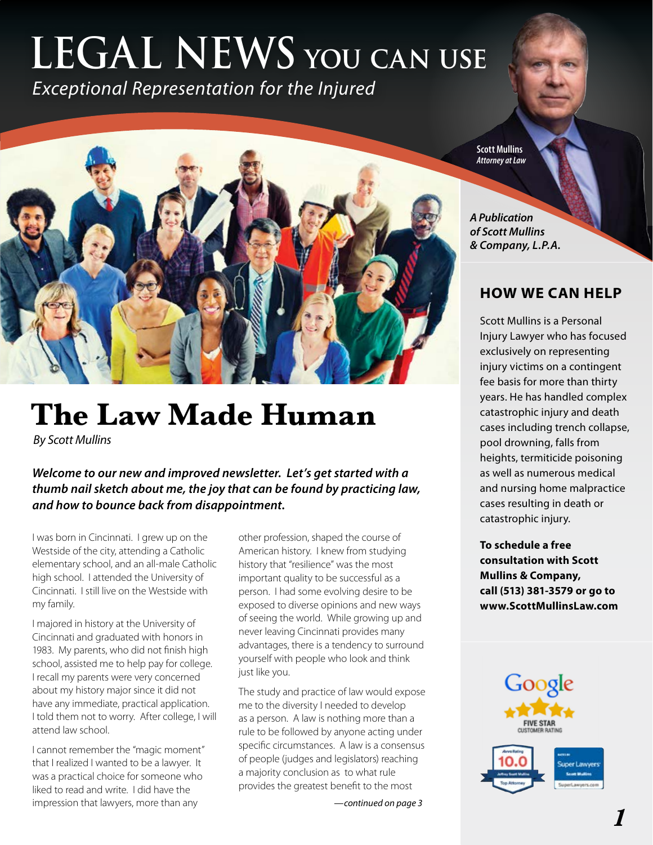## **LEGAL NEWS you can use** *Exceptional Representation for the Injured*

# **The Law Made Human**

*By Scott Mullins*

*Welcome to our new and improved newsletter. Let's get started with a thumb nail sketch about me, the joy that can be found by practicing law, and how to bounce back from disappointment.*

I was born in Cincinnati. I grew up on the Westside of the city, attending a Catholic elementary school, and an all-male Catholic high school. I attended the University of Cincinnati. I still live on the Westside with my family.

I majored in history at the University of Cincinnati and graduated with honors in 1983. My parents, who did not finish high school, assisted me to help pay for college. I recall my parents were very concerned about my history major since it did not have any immediate, practical application. I told them not to worry. After college, I will attend law school.

I cannot remember the "magic moment" that I realized I wanted to be a lawyer. It was a practical choice for someone who liked to read and write. I did have the impression that lawyers, more than any

other profession, shaped the course of American history. I knew from studying history that "resilience" was the most important quality to be successful as a person. I had some evolving desire to be exposed to diverse opinions and new ways of seeing the world. While growing up and never leaving Cincinnati provides many advantages, there is a tendency to surround yourself with people who look and think just like you.

The study and practice of law would expose me to the diversity I needed to develop as a person. A law is nothing more than a rule to be followed by anyone acting under specific circumstances. A law is a consensus of people (judges and legislators) reaching a majority conclusion as to what rule provides the greatest benefit to the most

*—continued on page 3*

**Scott Mullins** *Attorney at Law*

*A Publication of Scott Mullins & Company, L.P.A.*

### **HOW WE CAN HELP**

Scott Mullins is a Personal Injury Lawyer who has focused exclusively on representing injury victims on a contingent fee basis for more than thirty years. He has handled complex catastrophic injury and death cases including trench collapse, pool drowning, falls from heights, termiticide poisoning as well as numerous medical and nursing home malpractice cases resulting in death or catastrophic injury.

**To schedule a free consultation with Scott Mullins & Company, call (513) 381-3579 or go to www.ScottMullinsLaw.com**

Google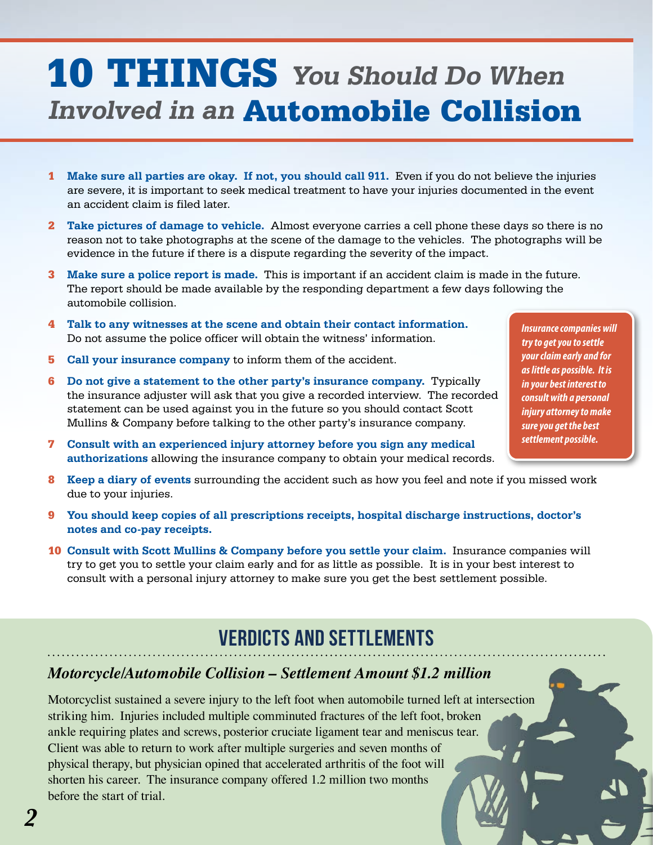## 10 THINGS **You Should Do When Involved in an** Automobile Collision

- 1 **Make sure all parties are okay. If not, you should call 911.** Even if you do not believe the injuries are severe, it is important to seek medical treatment to have your injuries documented in the event an accident claim is filed later.
- 2 **Take pictures of damage to vehicle.** Almost everyone carries a cell phone these days so there is no reason not to take photographs at the scene of the damage to the vehicles. The photographs will be evidence in the future if there is a dispute regarding the severity of the impact.
- 3 **Make sure a police report is made.** This is important if an accident claim is made in the future. The report should be made available by the responding department a few days following the automobile collision.
- 4 **Talk to any witnesses at the scene and obtain their contact information.** Do not assume the police officer will obtain the witness' information.
- 5 **Call your insurance company** to inform them of the accident.
- 6 **Do not give a statement to the other party's insurance company.** Typically the insurance adjuster will ask that you give a recorded interview. The recorded statement can be used against you in the future so you should contact Scott Mullins & Company before talking to the other party's insurance company.
- 7 **Consult with an experienced injury attorney before you sign any medical authorizations** allowing the insurance company to obtain your medical records.
- 8 **Keep a diary of events** surrounding the accident such as how you feel and note if you missed work due to your injuries.
- 9 **You should keep copies of all prescriptions receipts, hospital discharge instructions, doctor's notes and co-pay receipts.**
- 10 **Consult with Scott Mullins & Company before you settle your claim.** Insurance companies will try to get you to settle your claim early and for as little as possible. It is in your best interest to consult with a personal injury attorney to make sure you get the best settlement possible.

## **VERDICTS AND SETTLEMENTS**

### *Motorcycle/Automobile Collision – Settlement Amount \$1.2 million*

Motorcyclist sustained a severe injury to the left foot when automobile turned left at intersection striking him. Injuries included multiple comminuted fractures of the left foot, broken ankle requiring plates and screws, posterior cruciate ligament tear and meniscus tear. Client was able to return to work after multiple surgeries and seven months of physical therapy, but physician opined that accelerated arthritis of the foot will shorten his career. The insurance company offered 1.2 million two months before the start of trial.

*Insurance companies will try to get you to settle your claim early and for as little as possible. It is in your best interest to consult with a personal injury attorney to make sure you get the best settlement possible.*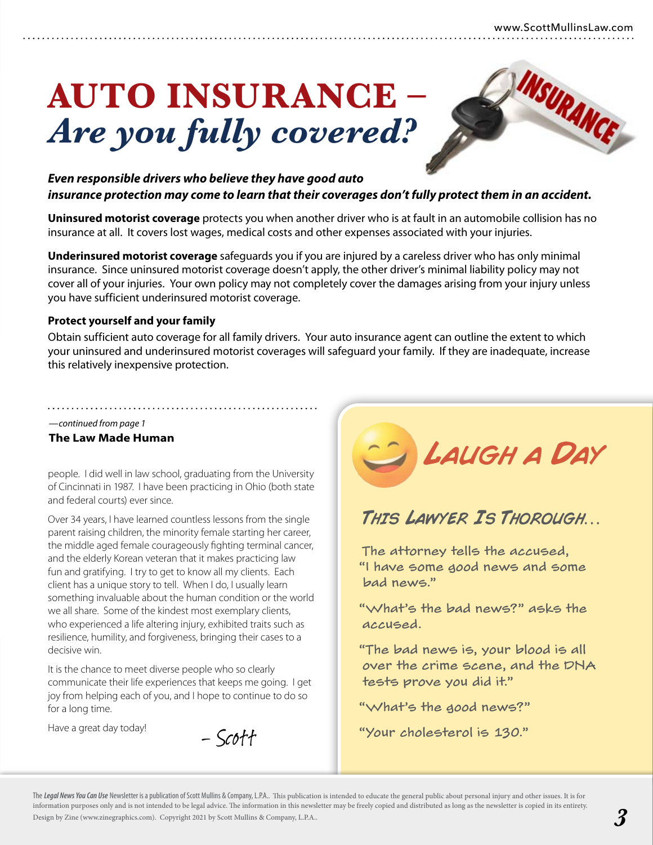INSURANCE

# **AUTO INSURANCE –**  *Are you fully covered?*

### *Even responsible drivers who believe they have good auto insurance protection may come to learn that their coverages don't fully protect them in an accident.*

**Uninsured motorist coverage** protects you when another driver who is at fault in an automobile collision has no insurance at all. It covers lost wages, medical costs and other expenses associated with your injuries.

**Underinsured motorist coverage** safeguards you if you are injured by a careless driver who has only minimal insurance. Since uninsured motorist coverage doesn't apply, the other driver's minimal liability policy may not cover all of your injuries. Your own policy may not completely cover the damages arising from your injury unless you have sufficient underinsured motorist coverage.

#### **Protect yourself and your family**

Obtain sufficient auto coverage for all family drivers. Your auto insurance agent can outline the extent to which your uninsured and underinsured motorist coverages will safeguard your family. If they are inadequate, increase this relatively inexpensive protection.

#### *—continued from page 1*

#### **The Law Made Human**

people. I did well in law school, graduating from the University of Cincinnati in 1987. I have been practicing in Ohio (both state and federal courts) ever since.

Over 34 years, I have learned countless lessons from the single parent raising children, the minority female starting her career, the middle aged female courageously fighting terminal cancer, and the elderly Korean veteran that it makes practicing law fun and gratifying. I try to get to know all my clients. Each client has a unique story to tell. When I do, I usually learn something invaluable about the human condition or the world we all share. Some of the kindest most exemplary clients, who experienced a life altering injury, exhibited traits such as resilience, humility, and forgiveness, bringing their cases to a decisive win.

It is the chance to meet diverse people who so clearly communicate their life experiences that keeps me going. I get joy from helping each of you, and I hope to continue to do so for a long time.

Have a great day today!

– Scott



## This Lawyer Is Thorough…

The attorney tells the accused, "I have some good news and some bad news."

"What's the bad news?" asks the accused.

"The bad news is, your blood is all over the crime scene, and the DNA tests prove you did it."

"What's the good news?"

"Your cholesterol is 130."

The *Legal News You Can Use* Newsletter is a publication of Scott Mullins & Company, L.P.A.. This publication is intended to educate the general public about personal injury and other issues. It is for information purposes only and is not intended to be legal advice. The information in this newsletter may be freely copied and distributed as long as the newsletter is copied in its entirety. Design by Zine (www.zinegraphics.com). Copyright 2021 by Scott Mullins & Company, L.P.A..